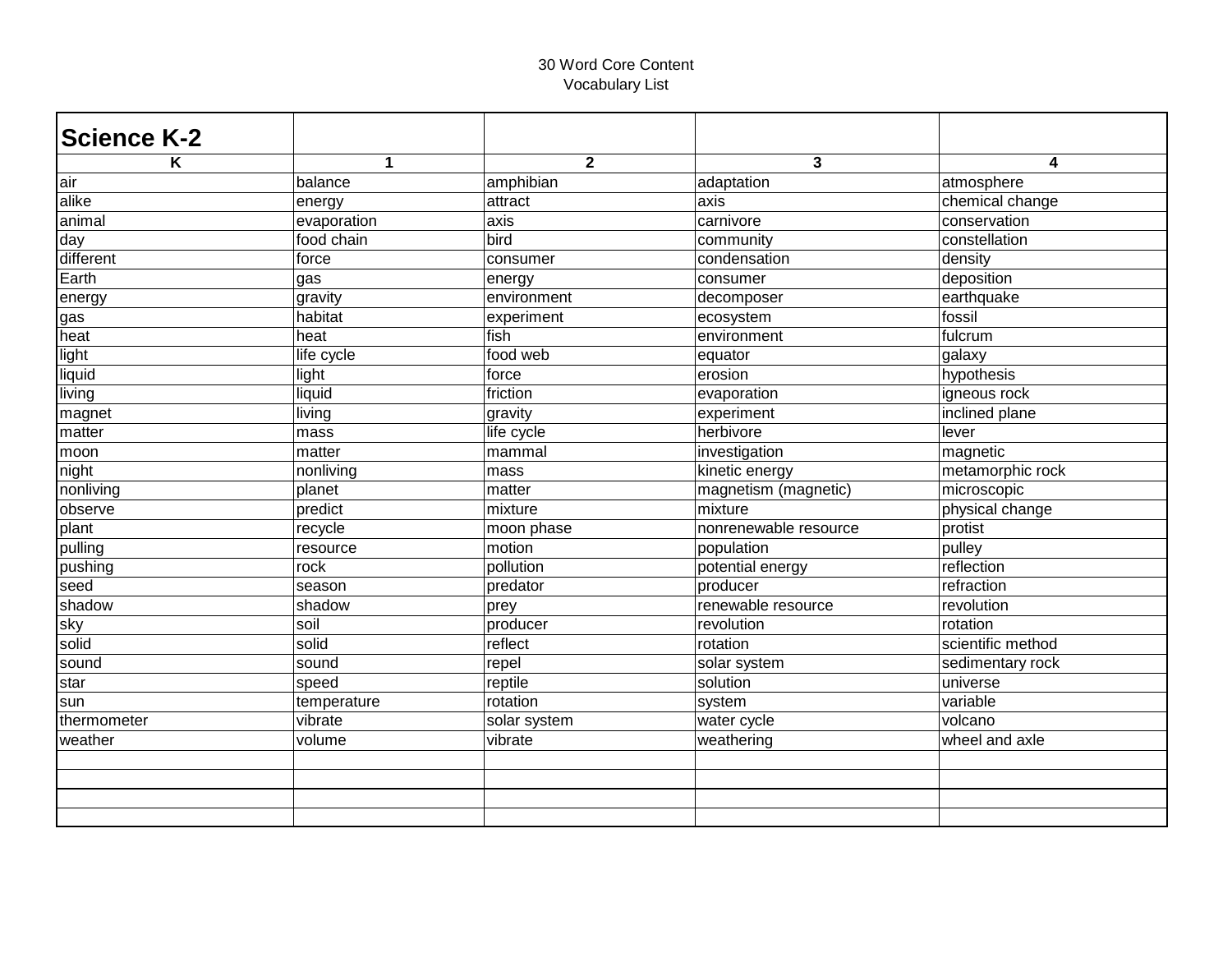| <b>Science K-2</b> |              |                |                       |                   |
|--------------------|--------------|----------------|-----------------------|-------------------|
| K                  | $\mathbf{1}$ | $\overline{2}$ | 3                     | 4                 |
| lair               | balance      | amphibian      | adaptation            | atmosphere        |
| alike              | energy       | attract        | axis                  | chemical change   |
| animal             | evaporation  | axis           | carnivore             | conservation      |
| day                | food chain   | bird           | community             | constellation     |
| different          | force        | consumer       | condensation          | density           |
| Earth              | gas          | energy         | consumer              | deposition        |
| energy             | gravity      | environment    | decomposer            | earthquake        |
| gas                | habitat      | experiment     | ecosystem             | fossil            |
| heat               | heat         | fish           | environment           | fulcrum           |
| light              | life cycle   | food web       | equator               | galaxy            |
| liquid             | light        | force          | erosion               | hypothesis        |
| living             | liquid       | friction       | evaporation           | igneous rock      |
| magnet             | living       | gravity        | experiment            | inclined plane    |
| matter             | mass         | life cycle     | herbivore             | lever             |
| moon               | matter       | mammal         | investigation         | magnetic          |
| night              | nonliving    | mass           | kinetic energy        | metamorphic rock  |
| nonliving          | planet       | matter         | magnetism (magnetic)  | microscopic       |
| observe            | predict      | mixture        | mixture               | physical change   |
| plant              | recycle      | moon phase     | nonrenewable resource | protist           |
| pulling            | resource     | motion         | population            | pulley            |
| pushing            | rock         | pollution      | potential energy      | reflection        |
| seed               | season       | predator       | producer              | refraction        |
| shadow             | shadow       | prey           | renewable resource    | revolution        |
| sky                | soil         | producer       | revolution            | rotation          |
| solid              | solid        | reflect        | rotation              | scientific method |
| sound              | sound        | repel          | solar system          | sedimentary rock  |
| star               | speed        | reptile        | solution              | universe          |
| sun                | temperature  | rotation       | system                | variable          |
| thermometer        | vibrate      | solar system   | water cycle           | volcano           |
| weather            | volume       | vibrate        | weathering            | wheel and axle    |
|                    |              |                |                       |                   |
|                    |              |                |                       |                   |
|                    |              |                |                       |                   |
|                    |              |                |                       |                   |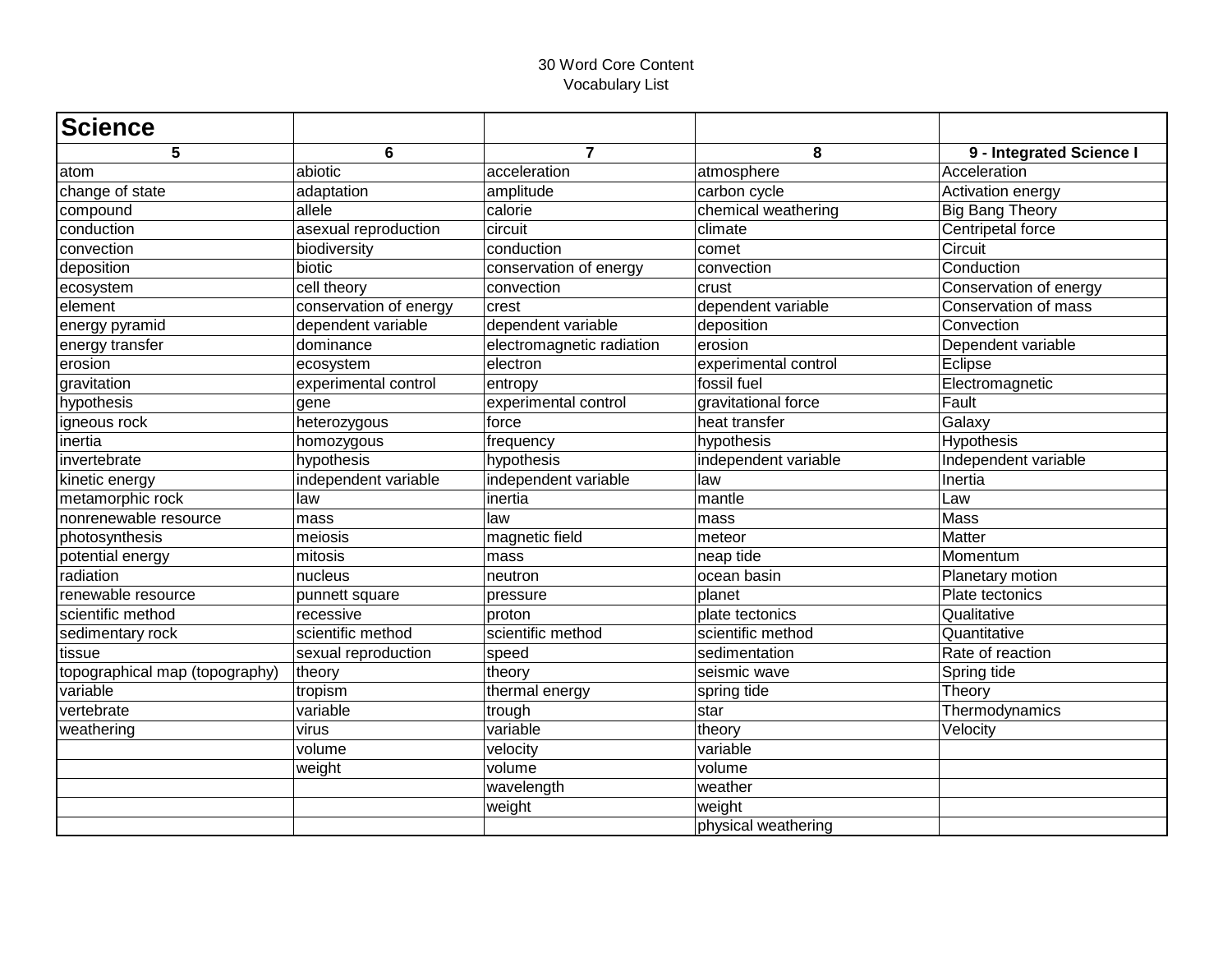| <b>Science</b>                 |                        |                           |                      |                          |
|--------------------------------|------------------------|---------------------------|----------------------|--------------------------|
| 5                              | 6                      | $\overline{7}$            | 8                    | 9 - Integrated Science I |
| atom                           | abiotic                | acceleration              | atmosphere           | Acceleration             |
| change of state                | adaptation             | amplitude                 | carbon cycle         | Activation energy        |
| compound                       | allele                 | calorie                   | chemical weathering  | <b>Big Bang Theory</b>   |
| conduction                     | asexual reproduction   | circuit                   | climate              | Centripetal force        |
| convection                     | biodiversity           | conduction                | comet                | Circuit                  |
| deposition                     | biotic                 | conservation of energy    | convection           | Conduction               |
| ecosystem                      | cell theory            | convection                | crust                | Conservation of energy   |
| element                        | conservation of energy | crest                     | dependent variable   | Conservation of mass     |
| energy pyramid                 | dependent variable     | dependent variable        | deposition           | Convection               |
| energy transfer                | dominance              | electromagnetic radiation | erosion              | Dependent variable       |
| erosion                        | ecosystem              | electron                  | experimental control | Eclipse                  |
| gravitation                    | experimental control   | entropy                   | fossil fuel          | Electromagnetic          |
| hypothesis                     | gene                   | experimental control      | gravitational force  | Fault                    |
| igneous rock                   | heterozygous           | force                     | heat transfer        | Galaxy                   |
| inertia                        | homozygous             | frequency                 | hypothesis           | Hypothesis               |
| linvertebrate                  | hypothesis             | hypothesis                | independent variable | Independent variable     |
| kinetic energy                 | independent variable   | independent variable      | law                  | Inertia                  |
| metamorphic rock               | law                    | inertia                   | mantle               | Law                      |
| nonrenewable resource          | mass                   | law                       | mass                 | Mass                     |
| photosynthesis                 | meiosis                | magnetic field            | meteor               | Matter                   |
| potential energy               | mitosis                | mass                      | neap tide            | Momentum                 |
| radiation                      | nucleus                | neutron                   | ocean basin          | Planetary motion         |
| renewable resource             | punnett square         | pressure                  | planet               | Plate tectonics          |
| scientific method              | recessive              | proton                    | plate tectonics      | Qualitative              |
| sedimentary rock               | scientific method      | scientific method         | scientific method    | Quantitative             |
| tissue                         | sexual reproduction    | speed                     | sedimentation        | Rate of reaction         |
| topographical map (topography) | theory                 | theory                    | seismic wave         | Spring tide              |
| variable                       | tropism                | thermal energy            | spring tide          | Theory                   |
| vertebrate                     | variable               | trough                    | star                 | Thermodynamics           |
| weathering                     | virus                  | variable                  | theory               | Velocity                 |
|                                | volume                 | velocity                  | variable             |                          |
|                                | weight                 | volume                    | volume               |                          |
|                                |                        | wavelength                | weather              |                          |
|                                |                        | weight                    | weight               |                          |
|                                |                        |                           | physical weathering  |                          |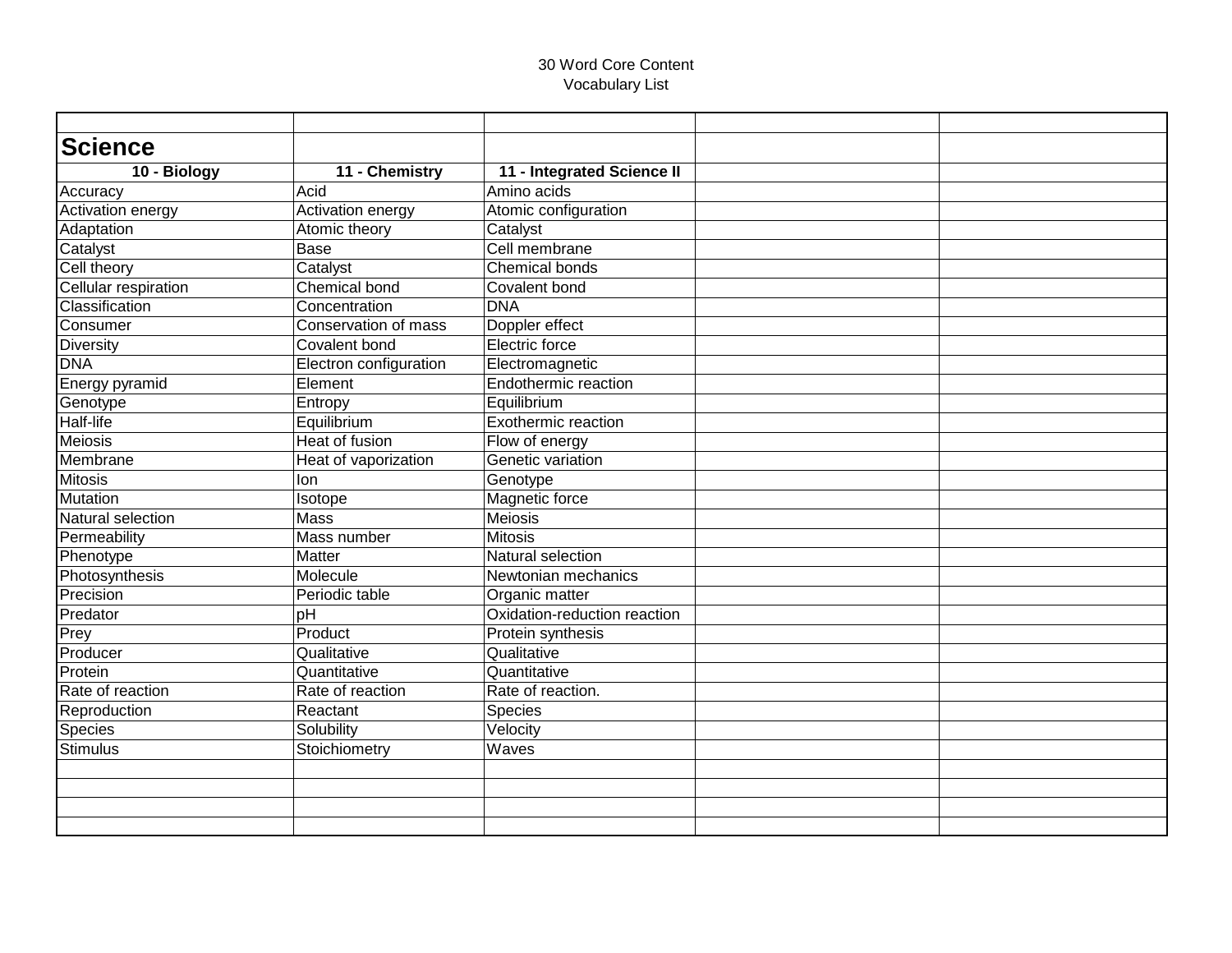| <b>Science</b>       |                        |                              |  |
|----------------------|------------------------|------------------------------|--|
| 10 - Biology         | 11 - Chemistry         | 11 - Integrated Science II   |  |
| Accuracy             | Acid                   | Amino acids                  |  |
| Activation energy    | Activation energy      | Atomic configuration         |  |
| Adaptation           | Atomic theory          | Catalyst                     |  |
| Catalyst             | <b>Base</b>            | Cell membrane                |  |
| Cell theory          | Catalyst               | <b>Chemical bonds</b>        |  |
| Cellular respiration | Chemical bond          | Covalent bond                |  |
| Classification       | Concentration          | <b>DNA</b>                   |  |
| Consumer             | Conservation of mass   | Doppler effect               |  |
| Diversity            | Covalent bond          | Electric force               |  |
| <b>DNA</b>           | Electron configuration | Electromagnetic              |  |
| Energy pyramid       | Element                | Endothermic reaction         |  |
| Genotype             | Entropy                | Equilibrium                  |  |
| Half-life            | Equilibrium            | Exothermic reaction          |  |
| Meiosis              | <b>Heat of fusion</b>  | Flow of energy               |  |
| <b>Membrane</b>      | Heat of vaporization   | Genetic variation            |  |
| <b>Mitosis</b>       | lon                    | Genotype                     |  |
| Mutation             | Isotope                | Magnetic force               |  |
| Natural selection    | Mass                   | Meiosis                      |  |
| Permeability         | Mass number            | <b>Mitosis</b>               |  |
| Phenotype            | <b>Matter</b>          | <b>Natural selection</b>     |  |
| Photosynthesis       | Molecule               | Newtonian mechanics          |  |
| Precision            | Periodic table         | Organic matter               |  |
| Predator             | pH                     | Oxidation-reduction reaction |  |
| Prey                 | Product                | Protein synthesis            |  |
| Producer             | Qualitative            | Qualitative                  |  |
| Protein              | Quantitative           | Quantitative                 |  |
| Rate of reaction     | Rate of reaction       | Rate of reaction.            |  |
| Reproduction         | Reactant               | Species                      |  |
| Species              | Solubility             | Velocity                     |  |
| <b>Stimulus</b>      | Stoichiometry          | Waves                        |  |
|                      |                        |                              |  |
|                      |                        |                              |  |
|                      |                        |                              |  |
|                      |                        |                              |  |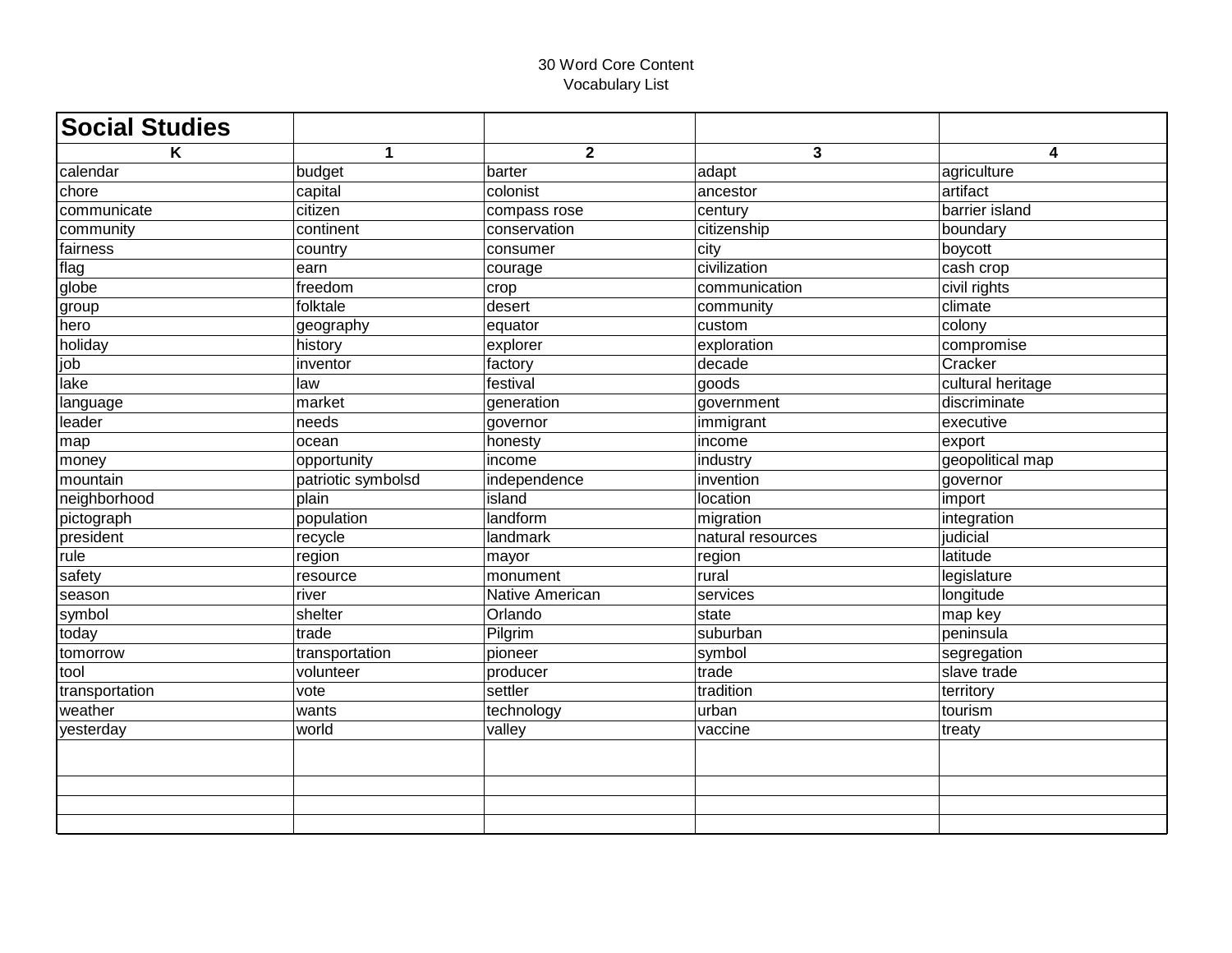| <b>Social Studies</b> |                    |                        |                         |                   |
|-----------------------|--------------------|------------------------|-------------------------|-------------------|
| K                     | $\mathbf{1}$       | $\mathbf{2}$           | $\overline{\mathbf{3}}$ | 4                 |
| calendar              | budget             | barter                 | adapt                   | agriculture       |
| chore                 | capital            | colonist               | ancestor                | artifact          |
| communicate           | citizen            | compass rose           | century                 | barrier island    |
| community             | continent          | conservation           | citizenship             | boundary          |
| fairness              | country            | consumer               | city                    | boycott           |
| flag                  | earn               | courage                | civilization            | cash crop         |
| globe                 | freedom            | crop                   | communication           | civil rights      |
| group                 | folktale           | desert                 | community               | climate           |
| hero                  | geography          | equator                | custom                  | colony            |
| holiday               | history            | $\overline{ex}$ plorer | exploration             | compromise        |
| job                   | inventor           | factory                | decade                  | Cracker           |
| lake                  | law                | festival               | goods                   | cultural heritage |
| language              | market             | generation             | government              | discriminate      |
| leader                | needs              | governor               | immigrant               | executive         |
| map                   | ocean              | honesty                | lincome                 | export            |
| money                 | opportunity        | income                 | industry                | geopolitical map  |
| mountain              | patriotic symbolsd | independence           | invention               | governor          |
| neighborhood          | plain              | island                 | location                | import            |
| pictograph            | population         | landform               | migration               | integration       |
| president             | recycle            | landmark               | natural resources       | judicial          |
| rule                  | region             | mayor                  | region                  | latitude          |
| safety                | resource           | monument               | rural                   | legislature       |
| season                | river              | Native American        | services                | longitude         |
| symbol                | shelter            | Orlando                | state                   | map key           |
| today                 | trade              | Pilgrim                | suburban                | peninsula         |
| tomorrow              | transportation     | pioneer                | symbol                  | segregation       |
| tool                  | volunteer          | producer               | trade                   | slave trade       |
| transportation        | vote               | settler                | tradition               | territory         |
| weather               | wants              | technology             | urban                   | tourism           |
| yesterday             | world              | valley                 | vaccine                 | treaty            |
|                       |                    |                        |                         |                   |
|                       |                    |                        |                         |                   |
|                       |                    |                        |                         |                   |
|                       |                    |                        |                         |                   |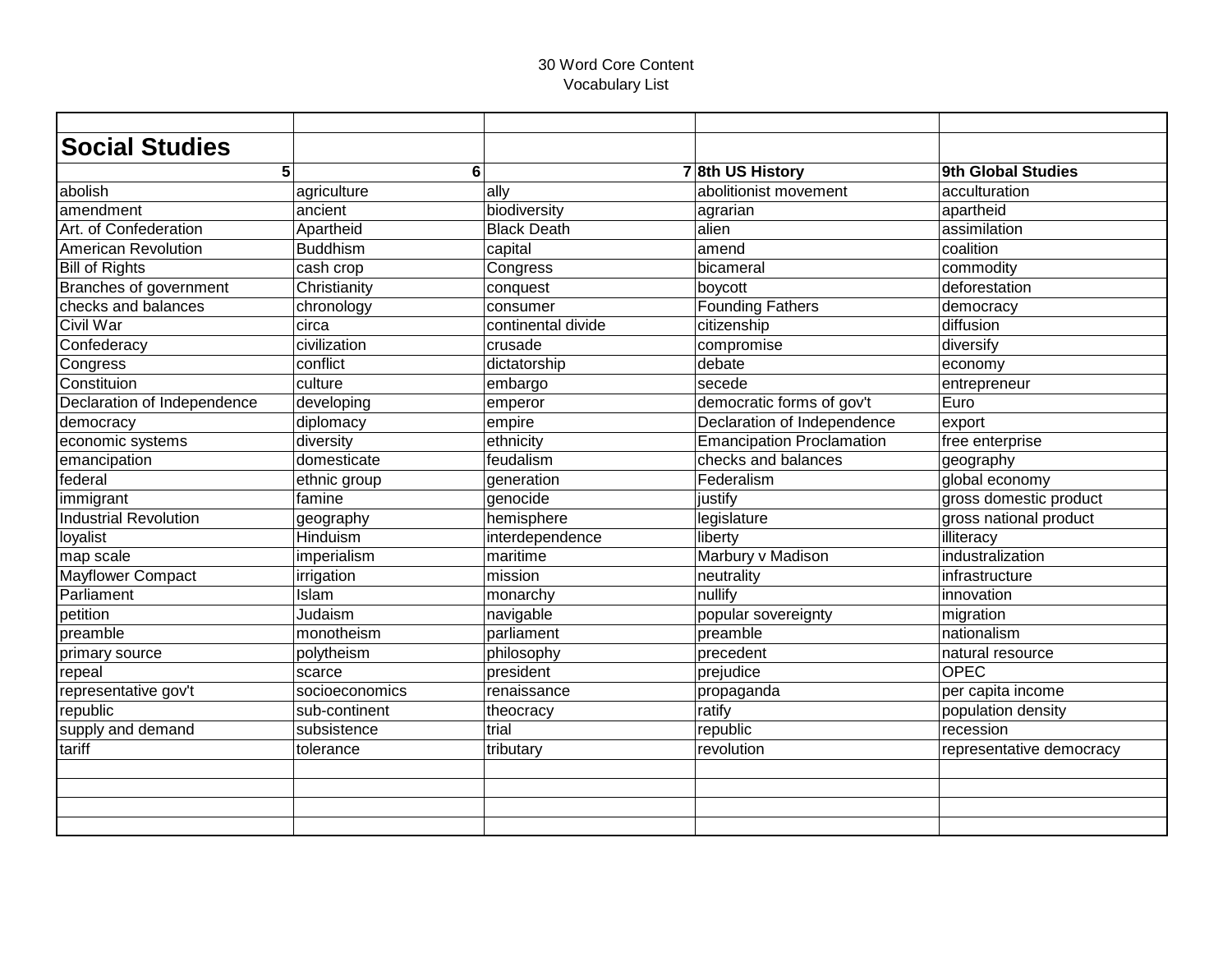| <b>Social Studies</b>        |                 |                    |                                  |                          |
|------------------------------|-----------------|--------------------|----------------------------------|--------------------------|
| 5                            | 6               |                    | 78th US History                  | 9th Global Studies       |
| abolish                      | agriculture     | ally               | abolitionist movement            | acculturation            |
| lamendment                   | ancient         | biodiversity       | agrarian                         | apartheid                |
| Art. of Confederation        | Apartheid       | <b>Black Death</b> | alien                            | assimilation             |
| <b>American Revolution</b>   | <b>Buddhism</b> | capital            | amend                            | coalition                |
| <b>Bill of Rights</b>        | cash crop       | Congress           | bicameral                        | commodity                |
| Branches of government       | Christianity    | conquest           | boycott                          | deforestation            |
| checks and balances          | chronology      | consumer           | <b>Founding Fathers</b>          | democracy                |
| Civil War                    | circa           | continental divide | citizenship                      | diffusion                |
| Confederacy                  | civilization    | crusade            | compromise                       | diversify                |
| Congress                     | conflict        | dictatorship       | debate                           | economy                  |
| Constituion                  | culture         | embargo            | secede                           | entrepreneur             |
| Declaration of Independence  | developing      | emperor            | democratic forms of gov't        | Euro                     |
| democracy                    | diplomacy       | empire             | Declaration of Independence      | export                   |
| economic systems             | diversity       | ethnicity          | <b>Emancipation Proclamation</b> | free enterprise          |
| emancipation                 | domesticate     | feudalism          | checks and balances              | geography                |
| federal                      | ethnic group    | generation         | Federalism                       | global economy           |
| immigrant                    | famine          | genocide           | justify                          | gross domestic product   |
| <b>Industrial Revolution</b> | geography       | hemisphere         | legislature                      | gross national product   |
| loyalist                     | <b>Hinduism</b> | interdependence    | liberty                          | illiteracy               |
| map scale                    | imperialism     | maritime           | Marbury v Madison                | industralization         |
| <b>Mayflower Compact</b>     | irrigation      | mission            | neutrality                       | infrastructure           |
| <b>Parliament</b>            | Islam           | monarchy           | nullify                          | innovation               |
| petition                     | Judaism         | navigable          | popular sovereignty              | migration                |
| preamble                     | monotheism      | parliament         | preamble                         | nationalism              |
| primary source               | polytheism      | philosophy         | precedent                        | natural resource         |
| repeal                       | scarce          | president          | prejudice                        | <b>OPEC</b>              |
| representative gov't         | socioeconomics  | renaissance        | propaganda                       | per capita income        |
| republic                     | sub-continent   | theocracy          | ratify                           | population density       |
| supply and demand            | subsistence     | trial              | republic                         | recession                |
| tariff                       | tolerance       | tributary          | revolution                       | representative democracy |
|                              |                 |                    |                                  |                          |
|                              |                 |                    |                                  |                          |
|                              |                 |                    |                                  |                          |
|                              |                 |                    |                                  |                          |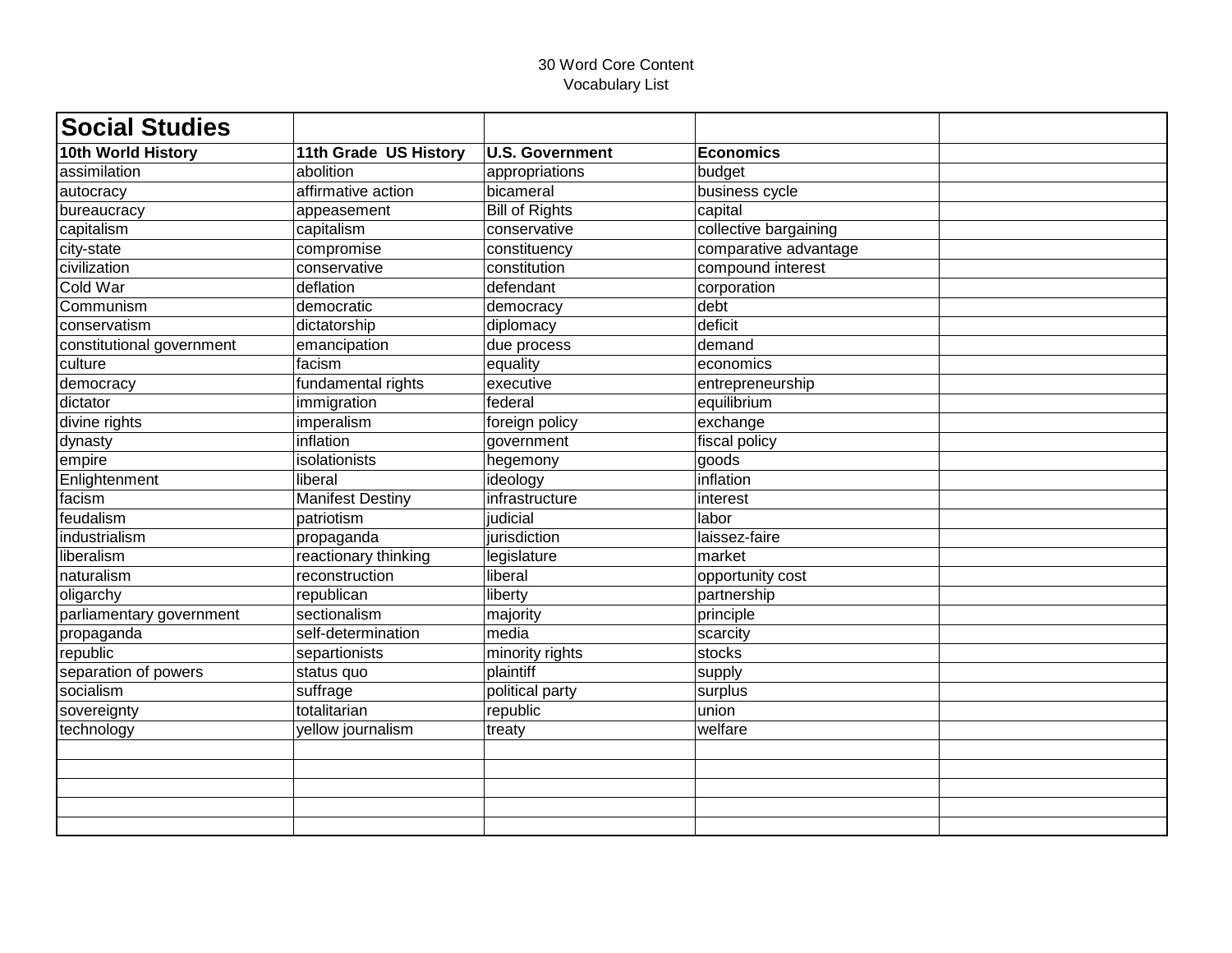| <b>Social Studies</b>     |                         |                        |                       |  |
|---------------------------|-------------------------|------------------------|-----------------------|--|
| 10th World History        | 11th Grade US History   | <b>U.S. Government</b> | <b>Economics</b>      |  |
| assimilation              | abolition               | appropriations         | budget                |  |
| autocracy                 | affirmative action      | bicameral              | business cycle        |  |
| bureaucracy               | appeasement             | <b>Bill of Rights</b>  | capital               |  |
| capitalism                | capitalism              | conservative           | collective bargaining |  |
| city-state                | compromise              | constituency           | comparative advantage |  |
| civilization              | conservative            | constitution           | compound interest     |  |
| <b>Cold War</b>           | deflation               | defendant              | corporation           |  |
| Communism                 | democratic              | democracy              | debt                  |  |
| conservatism              | dictatorship            | diplomacy              | deficit               |  |
| constitutional government | emancipation            | due process            | demand                |  |
| culture                   | facism                  | equality               | economics             |  |
| democracy                 | fundamental rights      | executive              | entrepreneurship      |  |
| dictator                  | immigration             | federal                | equilibrium           |  |
| divine rights             | imperalism              | foreign policy         | exchange              |  |
| dynasty                   | inflation               | government             | fiscal policy         |  |
| empire                    | isolationists           | hegemony               | goods                 |  |
| Enlightenment             | liberal                 | ideology               | inflation             |  |
| facism                    | <b>Manifest Destiny</b> | infrastructure         | interest              |  |
| feudalism                 | patriotism              | judicial               | labor                 |  |
| industrialism             | propaganda              | jurisdiction           | laissez-faire         |  |
| liberalism                | reactionary thinking    | legislature            | market                |  |
| naturalism                | reconstruction          | liberal                | opportunity cost      |  |
| oligarchy                 | republican              | liberty                | partnership           |  |
| parliamentary government  | sectionalism            | majority               | principle             |  |
| propaganda                | self-determination      | media                  | scarcity              |  |
| republic                  | separtionists           | minority rights        | stocks                |  |
| separation of powers      | status quo              | plaintiff              | supply                |  |
| socialism                 | suffrage                | political party        | surplus               |  |
| sovereignty               | totalitarian            | republic               | union                 |  |
| technology                | yellow journalism       | treaty                 | welfare               |  |
|                           |                         |                        |                       |  |
|                           |                         |                        |                       |  |
|                           |                         |                        |                       |  |
|                           |                         |                        |                       |  |
|                           |                         |                        |                       |  |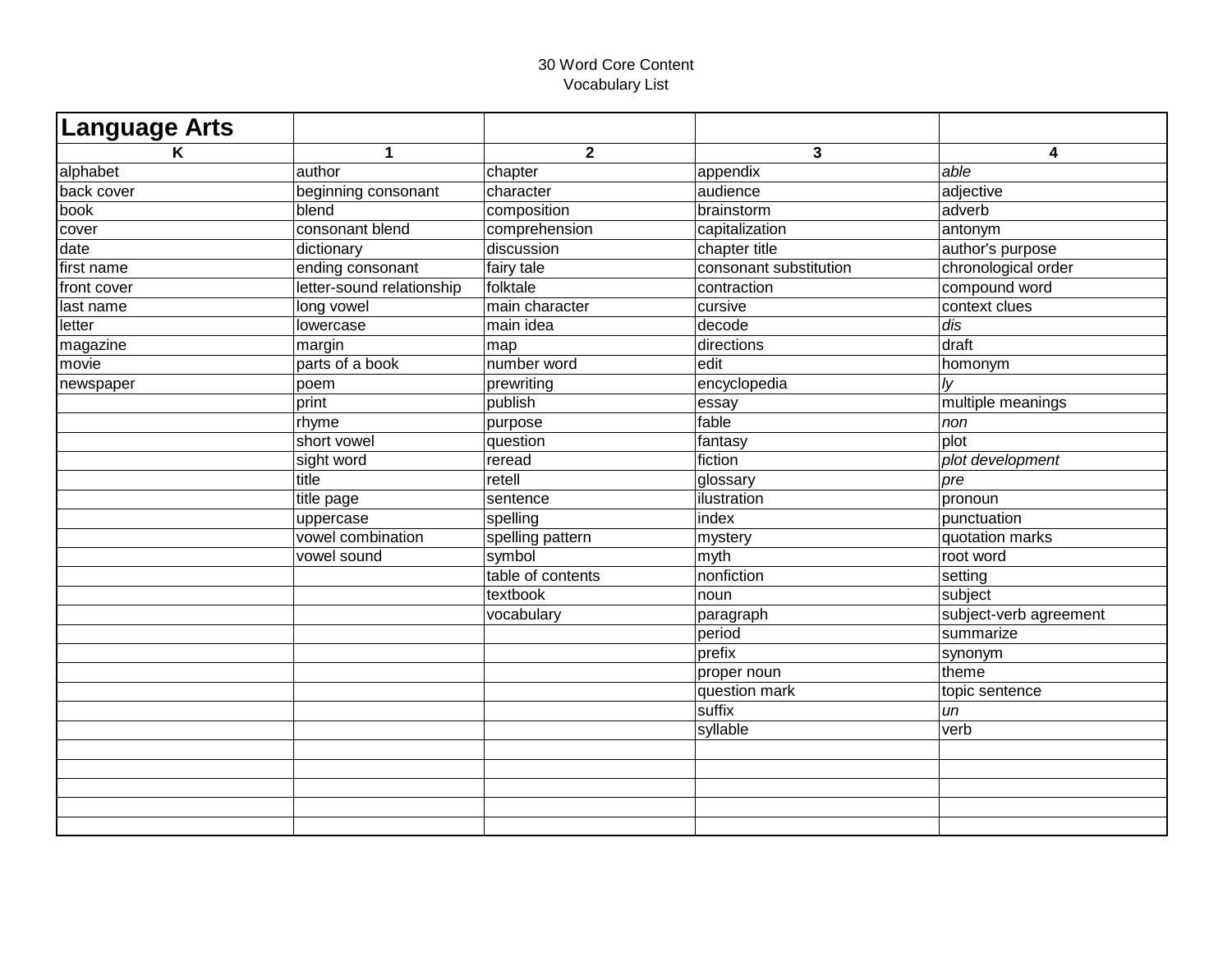| <b>Language Arts</b> |                           |                               |                        |                        |
|----------------------|---------------------------|-------------------------------|------------------------|------------------------|
| K                    | $\mathbf{1}$              | $\overline{2}$                | $\mathbf{3}$           | 4                      |
| alphabet             | author                    | chapter                       | appendix               | able                   |
| back cover           | beginning consonant       | character                     | audience               | adjective              |
| book                 | blend                     | composition                   | brainstorm             | adverb                 |
| cover                | consonant blend           | comprehension                 | capitalization         | antonym                |
| date                 | dictionary                | discussion                    | chapter title          | author's purpose       |
| first name           | ending consonant          | fairy tale                    | consonant substitution | chronological order    |
| front cover          | letter-sound relationship | folktale                      | contraction            | compound word          |
| last name            | long vowel                | main character                | cursive                | context clues          |
| letter               | lowercase                 | $\overline{\text{main}}$ idea | decode                 | dis                    |
| magazine             | margin                    | map                           | directions             | draft                  |
| movie                | parts of a book           | number word                   | edit                   | homonym                |
| newspaper            | poem                      | prewriting                    | encyclopedia           | Iy                     |
|                      | print                     | publish                       | essay                  | multiple meanings      |
|                      | rhyme                     | purpose                       | fable                  | non                    |
|                      | short vowel               | question                      | fantasy                | plot                   |
|                      | sight word                | reread                        | fiction                | plot development       |
|                      | title                     | retell                        | glossary               | pre                    |
|                      | title page                | sentence                      | lilustration           | pronoun                |
|                      | uppercase                 | spelling                      | index                  | punctuation            |
|                      | vowel combination         | spelling pattern              | mystery                | quotation marks        |
|                      | vowel sound               | symbol                        | myth                   | root word              |
|                      |                           | table of contents             | nonfiction             | setting                |
|                      |                           | textbook                      | noun                   | subject                |
|                      |                           | vocabulary                    | paragraph              | subject-verb agreement |
|                      |                           |                               | period                 | summarize              |
|                      |                           |                               | prefix                 | synonym                |
|                      |                           |                               | proper noun            | theme                  |
|                      |                           |                               | question mark          | topic sentence         |
|                      |                           |                               | suffix                 | un                     |
|                      |                           |                               | syllable               | verb                   |
|                      |                           |                               |                        |                        |
|                      |                           |                               |                        |                        |
|                      |                           |                               |                        |                        |
|                      |                           |                               |                        |                        |
|                      |                           |                               |                        |                        |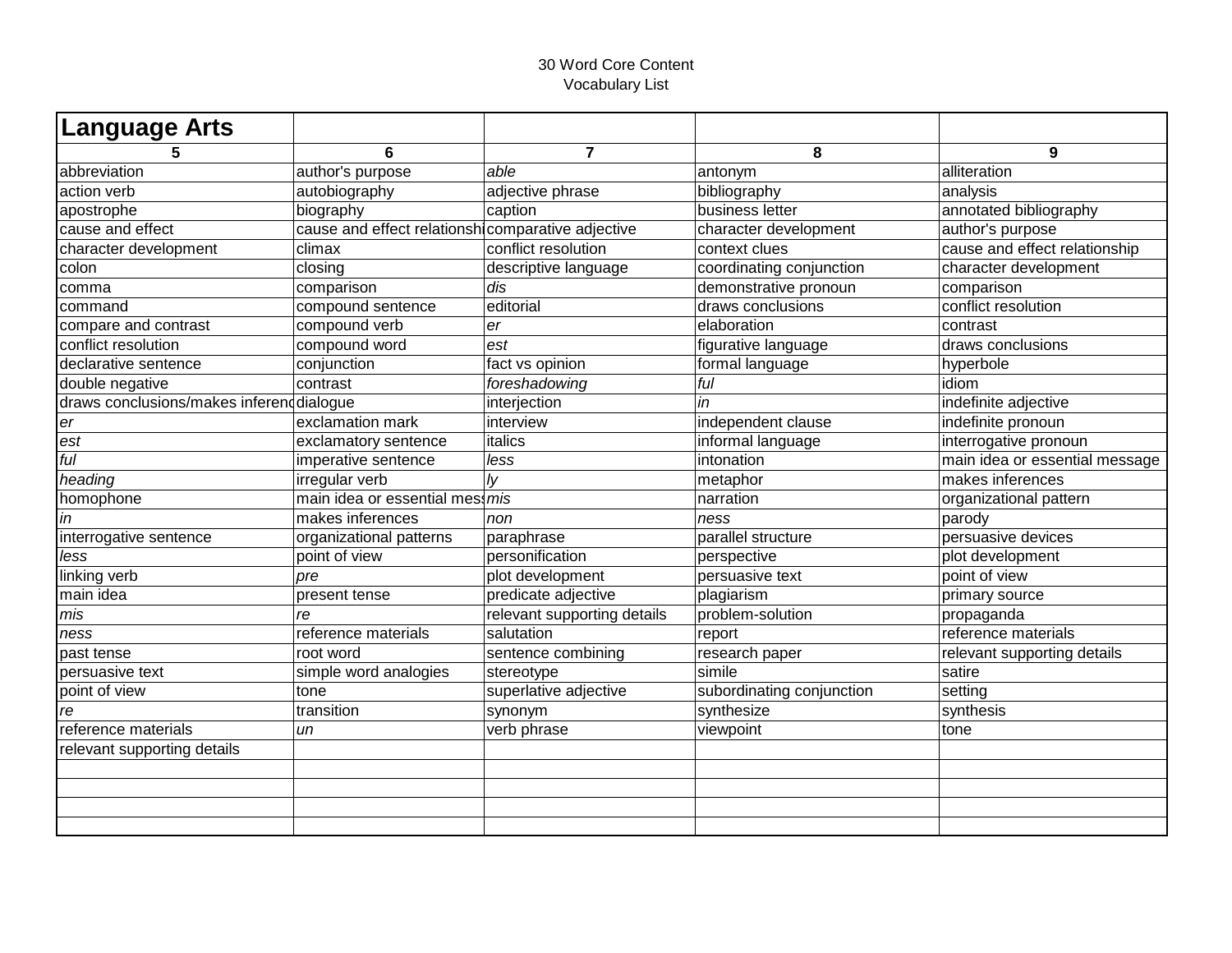| Language Arts                             |                                                   |                             |                           |                                |
|-------------------------------------------|---------------------------------------------------|-----------------------------|---------------------------|--------------------------------|
|                                           | 6                                                 | $\overline{7}$              | 8                         | 9                              |
| abbreviation                              | author's purpose                                  | able                        | antonym                   | alliteration                   |
| action verb                               | autobiography                                     | adjective phrase            | bibliography              | analysis                       |
| apostrophe                                | biography                                         | caption                     | business letter           | annotated bibliography         |
| cause and effect                          | cause and effect relationsh comparative adjective |                             | character development     | author's purpose               |
| character development                     | climax                                            | conflict resolution         | context clues             | cause and effect relationship  |
| colon                                     | closing                                           | descriptive language        | coordinating conjunction  | character development          |
| comma                                     | comparison                                        | dis                         | demonstrative pronoun     | comparison                     |
| command                                   | compound sentence                                 | editorial                   | draws conclusions         | conflict resolution            |
| compare and contrast                      | compound verb                                     | er                          | elaboration               | contrast                       |
| conflict resolution                       | compound word                                     | est                         | figurative language       | draws conclusions              |
| declarative sentence                      | conjunction                                       | fact vs opinion             | formal language           | hyperbole                      |
| double negative                           | contrast                                          | foreshadowing               | ful                       | idiom                          |
| draws conclusions/makes inferend dialogue |                                                   | interjection                | in                        | indefinite adjective           |
| er                                        | exclamation mark                                  | interview                   | independent clause        | indefinite pronoun             |
| est                                       | exclamatory sentence                              | italics                     | informal language         | interrogative pronoun          |
| $f$ <sub>U</sub>                          | imperative sentence                               | less                        | intonation                | main idea or essential message |
| heading                                   | irregular verb                                    | $\vert y \vert$             | metaphor                  | makes inferences               |
| homophone                                 | main idea or essential mes: mis                   |                             | narration                 | organizational pattern         |
| in                                        | makes inferences                                  | non                         | ness                      | parody                         |
| interrogative sentence                    | organizational patterns                           | paraphrase                  | parallel structure        | persuasive devices             |
| less                                      | point of view                                     | personification             | perspective               | plot development               |
| linking verb                              | pre                                               | plot development            | persuasive text           | point of view                  |
| main idea                                 | present tense                                     | predicate adjective         | plagiarism                | primary source                 |
| mis                                       | re                                                | relevant supporting details | problem-solution          | propaganda                     |
| ness                                      | reference materials                               | salutation                  | report                    | reference materials            |
| past tense                                | root word                                         | sentence combining          | research paper            | relevant supporting details    |
| persuasive text                           | simple word analogies                             | stereotype                  | simile                    | satire                         |
| point of view                             | tone                                              | superlative adjective       | subordinating conjunction | setting                        |
| re                                        | transition                                        | synonym                     | synthesize                | synthesis                      |
| reference materials                       | un                                                | verb phrase                 | viewpoint                 | tone                           |
| relevant supporting details               |                                                   |                             |                           |                                |
|                                           |                                                   |                             |                           |                                |
|                                           |                                                   |                             |                           |                                |
|                                           |                                                   |                             |                           |                                |
|                                           |                                                   |                             |                           |                                |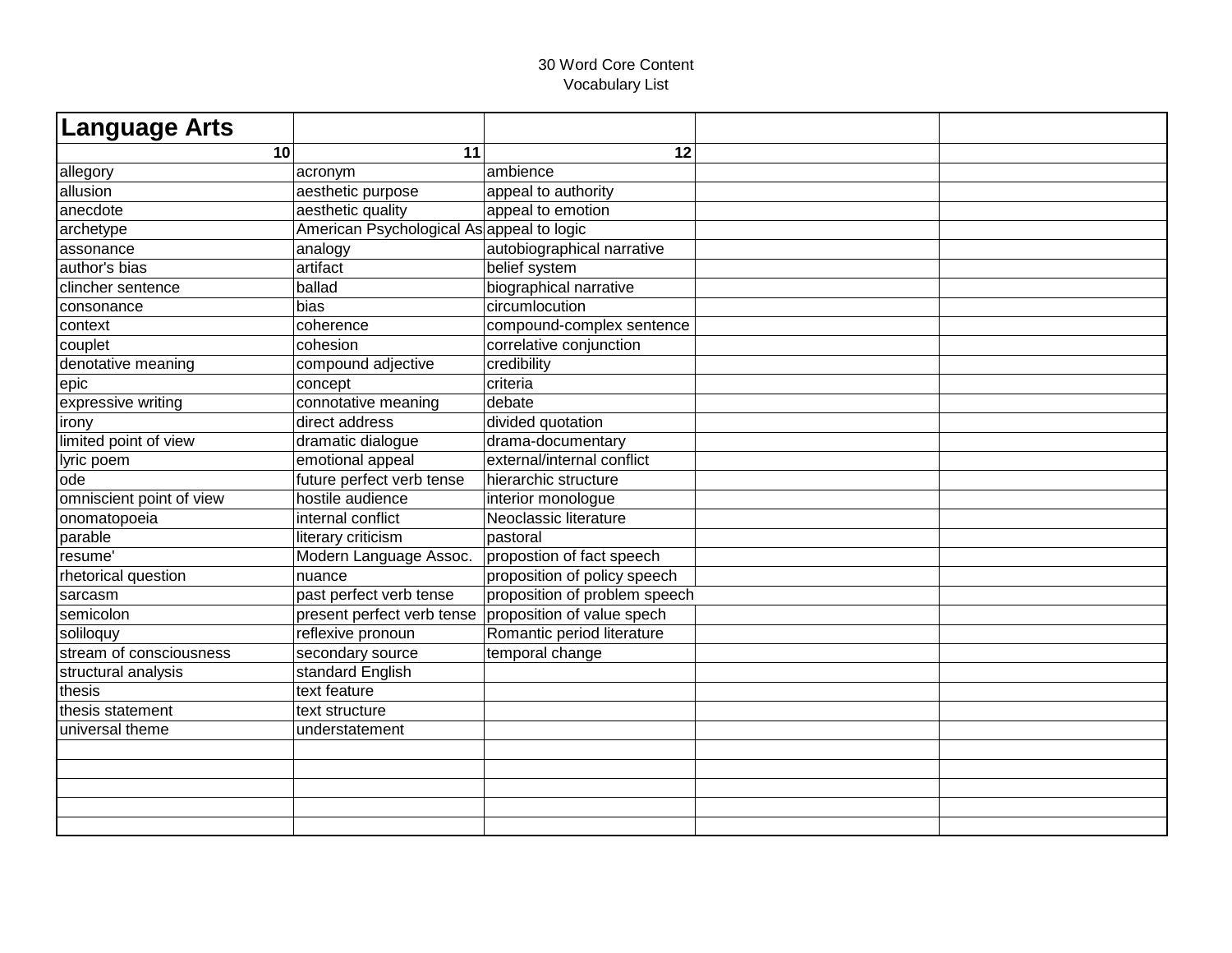| <b>Language Arts</b>     |                                           |                               |  |
|--------------------------|-------------------------------------------|-------------------------------|--|
| 10                       | 11                                        | 12                            |  |
| allegory                 | acronym                                   | ambience                      |  |
| allusion                 | aesthetic purpose                         | appeal to authority           |  |
| anecdote                 | aesthetic quality                         | appeal to emotion             |  |
| archetype                | American Psychological As appeal to logic |                               |  |
| assonance                | analogy                                   | autobiographical narrative    |  |
| author's bias            | artifact                                  | belief system                 |  |
| clincher sentence        | ballad                                    | biographical narrative        |  |
| consonance               | bias                                      | circumlocution                |  |
| context                  | coherence                                 | compound-complex sentence     |  |
| couplet                  | cohesion                                  | correlative conjunction       |  |
| denotative meaning       | compound adjective                        | credibility                   |  |
| epic                     | concept                                   | criteria                      |  |
| expressive writing       | connotative meaning                       | debate                        |  |
| irony                    | direct address                            | divided quotation             |  |
| limited point of view    | dramatic dialogue                         | drama-documentary             |  |
| lyric poem               | emotional appeal                          | external/internal conflict    |  |
| lode                     | future perfect verb tense                 | hierarchic structure          |  |
| omniscient point of view | hostile audience                          | interior monologue            |  |
| onomatopoeia             | internal conflict                         | Neoclassic literature         |  |
| parable                  | literary criticism                        | pastoral                      |  |
| resume'                  | Modern Language Assoc.                    | propostion of fact speech     |  |
| rhetorical question      | nuance                                    | proposition of policy speech  |  |
| sarcasm                  | past perfect verb tense                   | proposition of problem speech |  |
| semicolon                | present perfect verb tense                | proposition of value spech    |  |
| soliloquy                | reflexive pronoun                         | Romantic period literature    |  |
| stream of consciousness  | secondary source                          | temporal change               |  |
| structural analysis      | standard English                          |                               |  |
| thesis                   | text feature                              |                               |  |
| thesis statement         | text structure                            |                               |  |
| universal theme          | understatement                            |                               |  |
|                          |                                           |                               |  |
|                          |                                           |                               |  |
|                          |                                           |                               |  |
|                          |                                           |                               |  |
|                          |                                           |                               |  |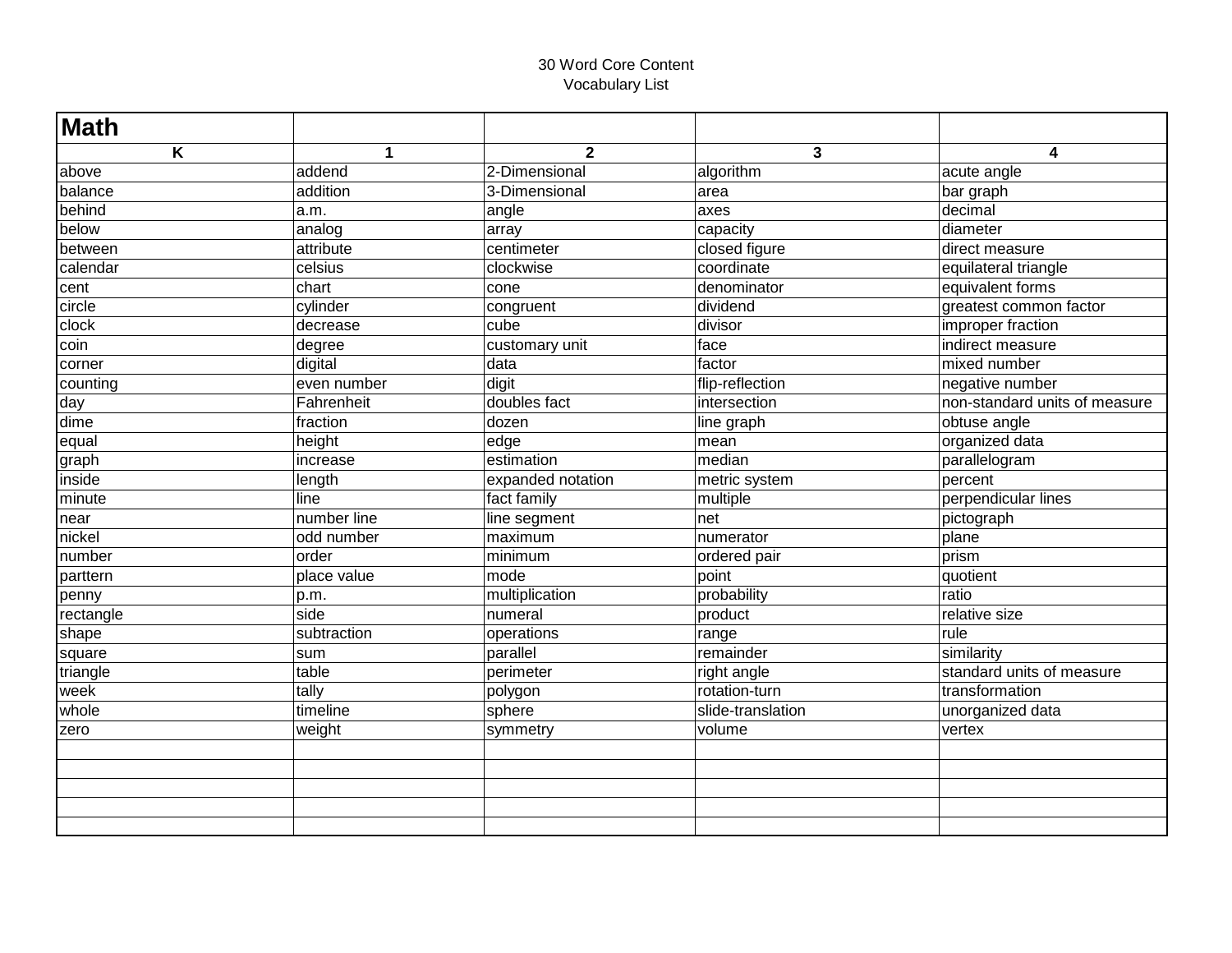| <b>Math</b> |              |                   |                   |                               |
|-------------|--------------|-------------------|-------------------|-------------------------------|
| Κ           | $\mathbf{1}$ | $\overline{2}$    | $\mathbf{3}$      | 4                             |
| above       | addend       | 2-Dimensional     | algorithm         | acute angle                   |
| balance     | addition     | 3-Dimensional     | area              | bar graph                     |
| behind      | a.m.         | angle             | axes              | decimal                       |
| below       | analog       | array             | capacity          | diameter                      |
| between     | attribute    | centimeter        | closed figure     | direct measure                |
| calendar    | celsius      | clockwise         | coordinate        | equilateral triangle          |
| cent        | chart        | cone              | denominator       | equivalent forms              |
| circle      | cylinder     | congruent         | dividend          | greatest common factor        |
| clock       | decrease     | cube              | divisor           | improper fraction             |
| coin        | degree       | customary unit    | face              | indirect measure              |
| corner      | digital      | data              | factor            | mixed number                  |
| counting    | even number  | digit             | flip-reflection   | negative number               |
| day         | Fahrenheit   | doubles fact      | intersection      | non-standard units of measure |
| dime        | fraction     | dozen             | line graph        | obtuse angle                  |
| equal       | height       | edge              | mean              | organized data                |
| graph       | increase     | estimation        | median            | parallelogram                 |
| inside      | length       | expanded notation | metric system     | percent                       |
| minute      | line         | fact family       | multiple          | perpendicular lines           |
| near        | number line  | line segment      | net               | pictograph                    |
| nickel      | odd number   | maximum           | numerator         | plane                         |
| number      | order        | minimum           | ordered pair      | prism                         |
| parttern    | place value  | mode              | point             | quotient                      |
| penny       | p.m.         | multiplication    | probability       | ratio                         |
| rectangle   | side         | numeral           | product           | relative size                 |
| shape       | subtraction  | operations        | range             | rule                          |
| square      | sum          | parallel          | remainder         | similarity                    |
| triangle    | table        | perimeter         | right angle       | standard units of measure     |
| week        | tally        | polygon           | rotation-turn     | transformation                |
| whole       | timeline     | sphere            | slide-translation | unorganized data              |
| zero        | weight       | symmetry          | volume            | vertex                        |
|             |              |                   |                   |                               |
|             |              |                   |                   |                               |
|             |              |                   |                   |                               |
|             |              |                   |                   |                               |
|             |              |                   |                   |                               |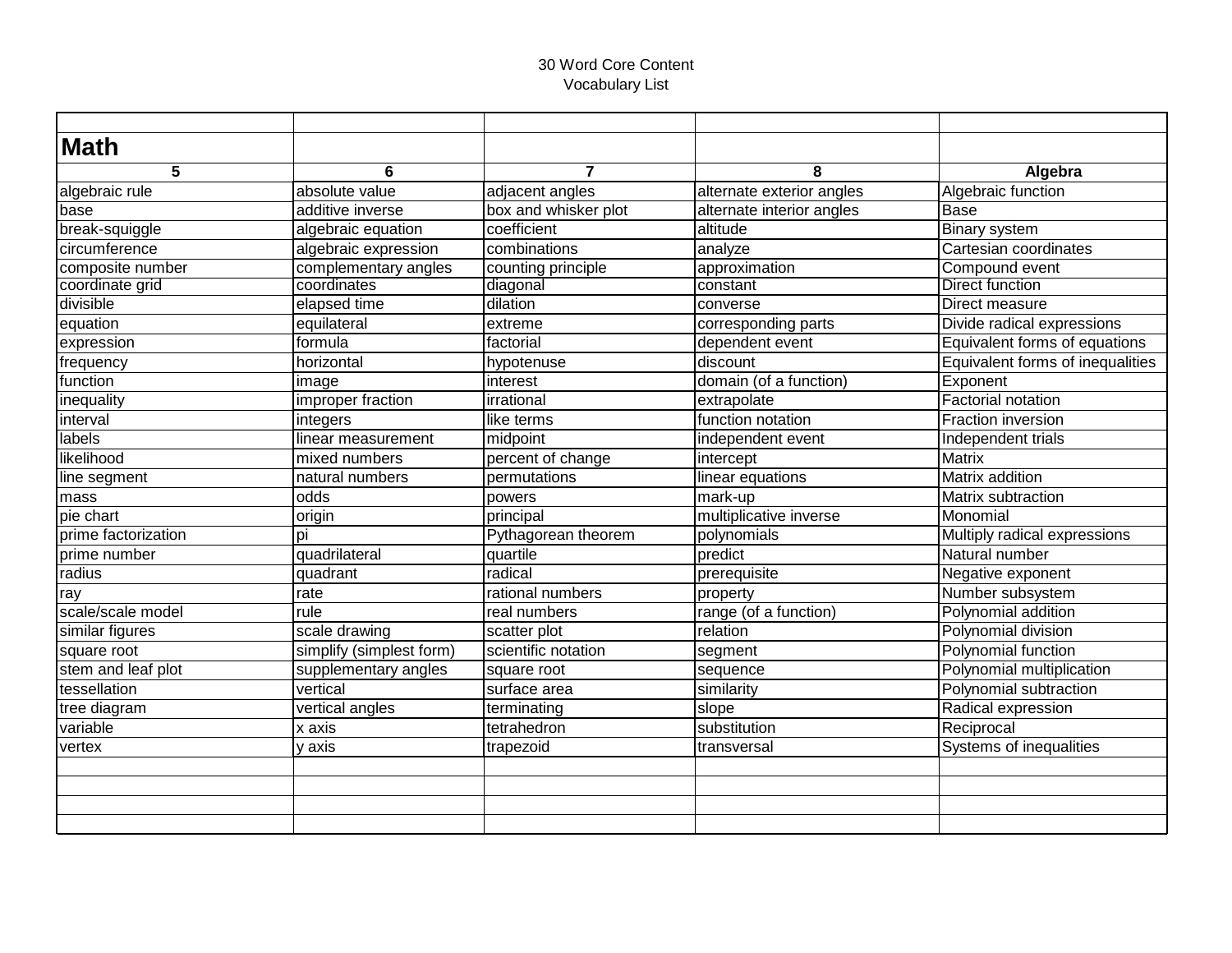| <b>Math</b>         |                          |                      |                           |                                  |
|---------------------|--------------------------|----------------------|---------------------------|----------------------------------|
| 5                   | 6                        | $\overline{ }$       | 8                         | Algebra                          |
| algebraic rule      | absolute value           | adjacent angles      | alternate exterior angles | Algebraic function               |
| base                | additive inverse         | box and whisker plot | alternate interior angles | Base                             |
| break-squiggle      | algebraic equation       | coefficient          | altitude                  | <b>Binary system</b>             |
| circumference       | algebraic expression     | combinations         | analyze                   | Cartesian coordinates            |
| composite number    | complementary angles     | counting principle   | approximation             | Compound event                   |
| coordinate grid     | coordinates              | diagonal             | constant                  | <b>Direct function</b>           |
| divisible           | elapsed time             | dilation             | converse                  | Direct measure                   |
| equation            | equilateral              | extreme              | corresponding parts       | Divide radical expressions       |
| expression          | formula                  | factorial            | dependent event           | Equivalent forms of equations    |
| frequency           | horizontal               | hypotenuse           | discount                  | Equivalent forms of inequalities |
| function            | image                    | interest             | domain (of a function)    | Exponent                         |
| inequality          | improper fraction        | irrational           | extrapolate               | Factorial notation               |
| interval            | integers                 | like terms           | function notation         | <b>Fraction inversion</b>        |
| labels              | linear measurement       | midpoint             | independent event         | Independent trials               |
| likelihood          | mixed numbers            | percent of change    | intercept                 | <b>Matrix</b>                    |
| line segment        | natural numbers          | permutations         | linear equations          | Matrix addition                  |
| mass                | odds                     | powers               | mark-up                   | Matrix subtraction               |
| pie chart           | origin                   | principal            | multiplicative inverse    | Monomial                         |
| prime factorization | bi                       | Pythagorean theorem  | polynomials               | Multiply radical expressions     |
| prime number        | quadrilateral            | quartile             | predict                   | Natural number                   |
| radius              | quadrant                 | radical              | prerequisite              | Negative exponent                |
| ray                 | rate                     | rational numbers     | property                  | Number subsystem                 |
| scale/scale model   | rule                     | real numbers         | range (of a function)     | Polynomial addition              |
| similar figures     | scale drawing            | scatter plot         | relation                  | Polynomial division              |
| square root         | simplify (simplest form) | scientific notation  | segment                   | Polynomial function              |
| stem and leaf plot  | supplementary angles     | square root          | sequence                  | Polynomial multiplication        |
| tessellation        | vertical                 | surface area         | similarity                | Polynomial subtraction           |
| tree diagram        | vertical angles          | terminating          | slope                     | Radical expression               |
| variable            | x axis                   | tetrahedron          | substitution              | Reciprocal                       |
| vertex              | y axis                   | trapezoid            | transversal               | Systems of inequalities          |
|                     |                          |                      |                           |                                  |
|                     |                          |                      |                           |                                  |
|                     |                          |                      |                           |                                  |
|                     |                          |                      |                           |                                  |